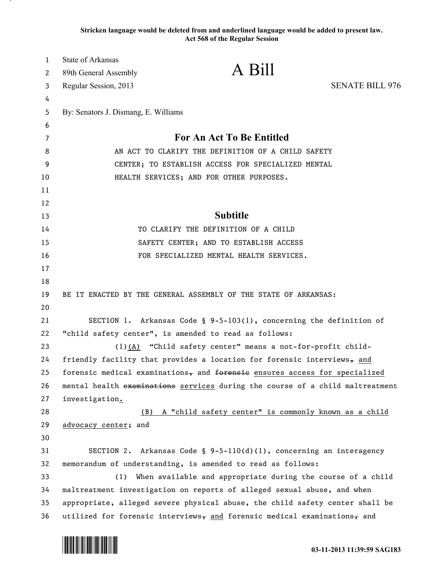## **Stricken language would be deleted from and underlined language would be added to present law. Act 568 of the Regular Session**

| $\mathbf{1}$ | <b>State of Arkansas</b>                                                      |                                                      |
|--------------|-------------------------------------------------------------------------------|------------------------------------------------------|
| 2            | A Bill<br>89th General Assembly                                               |                                                      |
| 3            | Regular Session, 2013                                                         | <b>SENATE BILL 976</b>                               |
| 4            |                                                                               |                                                      |
| 5            | By: Senators J. Dismang, E. Williams                                          |                                                      |
| 6            |                                                                               |                                                      |
| 7            | <b>For An Act To Be Entitled</b>                                              |                                                      |
| 8            | AN ACT TO CLARIFY THE DEFINITION OF A CHILD SAFETY                            |                                                      |
| 9            | CENTER; TO ESTABLISH ACCESS FOR SPECIALIZED MENTAL                            |                                                      |
| 10           | HEALTH SERVICES; AND FOR OTHER PURPOSES.                                      |                                                      |
| 11           |                                                                               |                                                      |
| 12           |                                                                               |                                                      |
| 13           | <b>Subtitle</b>                                                               |                                                      |
| 14           | TO CLARIFY THE DEFINITION OF A CHILD                                          |                                                      |
| 15           | SAFETY CENTER; AND TO ESTABLISH ACCESS                                        |                                                      |
| 16           | FOR SPECIALIZED MENTAL HEALTH SERVICES.                                       |                                                      |
| 17           |                                                                               |                                                      |
| 18           |                                                                               |                                                      |
| 19           | BE IT ENACTED BY THE GENERAL ASSEMBLY OF THE STATE OF ARKANSAS:               |                                                      |
| 20           |                                                                               |                                                      |
| 21           | SECTION 1. Arkansas Code § $9-5-103(1)$ , concerning the definition of        |                                                      |
| 22           | "child safety center", is amended to read as follows:                         |                                                      |
| 23           | (1)(A) "Child safety center" means a not-for-profit child-                    |                                                      |
| 24           | friendly facility that provides a location for forensic interviews, and       |                                                      |
| 25           | forensic medical examinations, and forensie ensures access for specialized    |                                                      |
| 26           | mental health examinations services during the course of a child maltreatment |                                                      |
| 27           | investigation.                                                                |                                                      |
| 28           | (B)                                                                           | A "child safety center" is commonly known as a child |
| 29           | advocacy center; and                                                          |                                                      |
| 30           |                                                                               |                                                      |
| 31           | SECTION 2. Arkansas Code § $9-5-110(d)(1)$ , concerning an interagency        |                                                      |
| 32           | memorandum of understanding, is amended to read as follows:                   |                                                      |
| 33           | When available and appropriate during the course of a child<br>(1)            |                                                      |
| 34           | maltreatment investigation on reports of alleged sexual abuse, and when       |                                                      |
| 35           | appropriate, alleged severe physical abuse, the child safety center shall be  |                                                      |
| 36           | utilized for forensic interviews, and forensic medical examinations, and      |                                                      |